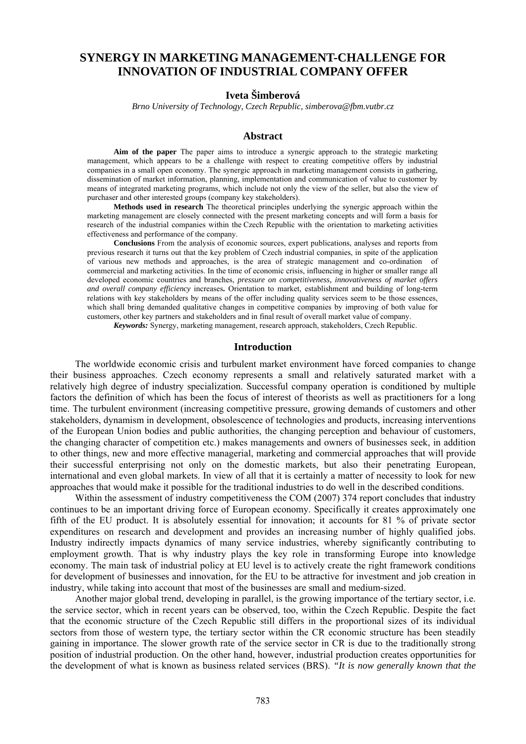# **SYNERGY IN MARKETING MANAGEMENT-CHALLENGE FOR INNOVATION OF INDUSTRIAL COMPANY OFFER**

## **Iveta Šimberová**

*Brno University of Technology, Czech Republic, simberova@fbm.vutbr.cz* 

#### **Abstract**

**Aim of the paper** The paper aims to introduce a synergic approach to the strategic marketing management, which appears to be a challenge with respect to creating competitive offers by industrial companies in a small open economy. The synergic approach in marketing management consists in gathering, dissemination of market information, planning, implementation and communication of value to customer by means of integrated marketing programs, which include not only the view of the seller, but also the view of purchaser and other interested groups (company key stakeholders).

**Methods used in research** The theoretical principles underlying the synergic approach within the marketing management are closely connected with the present marketing concepts and will form a basis for research of the industrial companies within the Czech Republic with the orientation to marketing activities effectiveness and performance of the company.

**Conclusions** From the analysis of economic sources, expert publications, analyses and reports from previous research it turns out that the key problem of Czech industrial companies, in spite of the application of various new methods and approaches, is the area of strategic management and co-ordination of commercial and marketing activities. In the time of economic crisis, influencing in higher or smaller range all developed economic countries and branches, *pressure on competitiveness, innovativeness of market offers and overall company efficiency* increases**.** Orientation to market, establishment and building of long-term relations with key stakeholders by means of the offer including quality services seem to be those essences, which shall bring demanded qualitative changes in competitive companies by improving of both value for customers, other key partners and stakeholders and in final result of overall market value of company.

*Keywords:* Synergy, marketing management, research approach, stakeholders, Czech Republic.

#### **Introduction**

The worldwide economic crisis and turbulent market environment have forced companies to change their business approaches. Czech economy represents a small and relatively saturated market with a relatively high degree of industry specialization. Successful company operation is conditioned by multiple factors the definition of which has been the focus of interest of theorists as well as practitioners for a long time. The turbulent environment (increasing competitive pressure, growing demands of customers and other stakeholders, dynamism in development, obsolescence of technologies and products, increasing interventions of the European Union bodies and public authorities, the changing perception and behaviour of customers, the changing character of competition etc.) makes managements and owners of businesses seek, in addition to other things, new and more effective managerial, marketing and commercial approaches that will provide their successful enterprising not only on the domestic markets, but also their penetrating European, international and even global markets. In view of all that it is certainly a matter of necessity to look for new approaches that would make it possible for the traditional industries to do well in the described conditions.

Within the assessment of industry competitiveness the COM (2007) 374 report concludes that industry continues to be an important driving force of European economy. Specifically it creates approximately one fifth of the EU product. It is absolutely essential for innovation; it accounts for 81 % of private sector expenditures on research and development and provides an increasing number of highly qualified jobs. Industry indirectly impacts dynamics of many service industries, whereby significantly contributing to employment growth. That is why industry plays the key role in transforming Europe into knowledge economy. The main task of industrial policy at EU level is to actively create the right framework conditions for development of businesses and innovation, for the EU to be attractive for investment and job creation in industry, while taking into account that most of the businesses are small and medium-sized.

Another major global trend, developing in parallel, is the growing importance of the tertiary sector, i.e. the service sector, which in recent years can be observed, too, within the Czech Republic. Despite the fact that the economic structure of the Czech Republic still differs in the proportional sizes of its individual sectors from those of western type, the tertiary sector within the CR economic structure has been steadily gaining in importance. The slower growth rate of the service sector in CR is due to the traditionally strong position of industrial production. On the other hand, however, industrial production creates opportunities for the development of what is known as business related services (BRS). *"It is now generally known that the*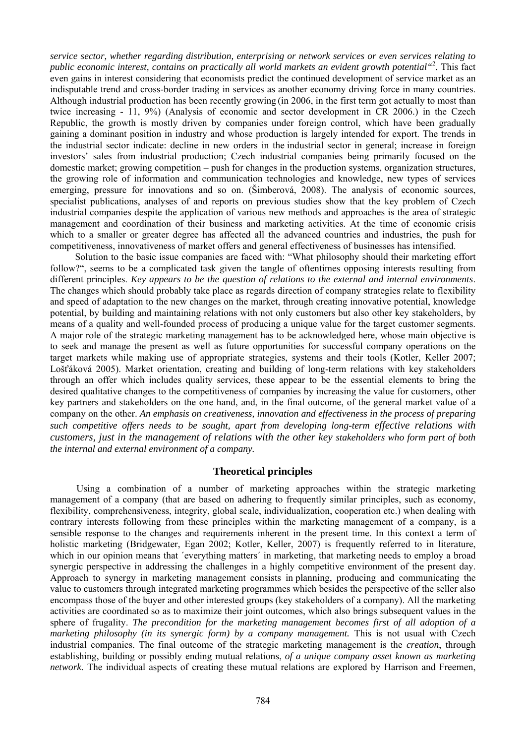*service sector, whether regarding distribution, enterprising or network services or even services relating to public economic interest, contains on practically all world markets an evident growth potential"*<sup>2</sup> *.* This fact even gains in interest considering that economists predict the continued development of service market as an indisputable trend and cross-border trading in services as another economy driving force in many countries. Although industrial production has been recently growing (in 2006, in the first term got actually to most than twice increasing - 11, 9%) (Analysis of economic and sector development in CR 2006.) in the Czech Republic, the growth is mostly driven by companies under foreign control, which have been gradually gaining a dominant position in industry and whose production is largely intended for export. The trends in the industrial sector indicate: decline in new orders in the industrial sector in general; increase in foreign investors' sales from industrial production; Czech industrial companies being primarily focused on the domestic market; growing competition – push for changes in the production systems, organization structures, the growing role of information and communication technologies and knowledge, new types of services emerging, pressure for innovations and so on. (Šimberová, 2008). The analysis of economic sources, specialist publications, analyses of and reports on previous studies show that the key problem of Czech industrial companies despite the application of various new methods and approaches is the area of strategic management and coordination of their business and marketing activities. At the time of economic crisis which to a smaller or greater degree has affected all the advanced countries and industries, the push for competitiveness, innovativeness of market offers and general effectiveness of businesses has intensified.

Solution to the basic issue companies are faced with: "What philosophy should their marketing effort follow?", seems to be a complicated task given the tangle of oftentimes opposing interests resulting from different principles. *Key appears to be the question of relations to the external and internal environments*. The changes which should probably take place as regards direction of company strategies relate to flexibility and speed of adaptation to the new changes on the market, through creating innovative potential, knowledge potential, by building and maintaining relations with not only customers but also other key stakeholders, by means of a quality and well-founded process of producing a unique value for the target customer segments. A major role of the strategic marketing management has to be acknowledged here, whose main objective is to seek and manage the present as well as future opportunities for successful company operations on the target markets while making use of appropriate strategies, systems and their tools (Kotler, Keller 2007; Lošťáková 2005). Market orientation, creating and building of long-term relations with key stakeholders through an offer which includes quality services, these appear to be the essential elements to bring the desired qualitative changes to the competitiveness of companies by increasing the value for customers, other key partners and stakeholders on the one hand, and, in the final outcome, of the general market value of a company on the other. *An emphasis on creativeness, innovation and effectiveness in the process of preparing such competitive offers needs to be sought, apart from developing long-term effective relations with customers, just in the management of relations with the other key stakeholders who form part of both the internal and external environment of a company.*

## **Theoretical principles**

Using a combination of a number of marketing approaches within the strategic marketing management of a company (that are based on adhering to frequently similar principles, such as economy, flexibility, comprehensiveness, integrity, global scale, individualization, cooperation etc.) when dealing with contrary interests following from these principles within the marketing management of a company, is a sensible response to the changes and requirements inherent in the present time. In this context a term of holistic marketing (Bridgewater, Egan 2002; Kotler, Keller, 2007) is frequently referred to in literature, which in our opinion means that 'everything matters' in marketing, that marketing needs to employ a broad synergic perspective in addressing the challenges in a highly competitive environment of the present day. Approach to synergy in marketing management consists in planning, producing and communicating the value to customers through integrated marketing programmes which besides the perspective of the seller also encompass those of the buyer and other interested groups (key stakeholders of a company). All the marketing activities are coordinated so as to maximize their joint outcomes, which also brings subsequent values in the sphere of frugality. *The precondition for the marketing management becomes first of all adoption of a marketing philosophy (in its synergic form) by a company management.* This is not usual with Czech industrial companies. The final outcome of the strategic marketing management is the *creation*, through establishing, building or possibly ending mutual relations, *of a unique company asset known as marketing network*. The individual aspects of creating these mutual relations are explored by Harrison and Freemen,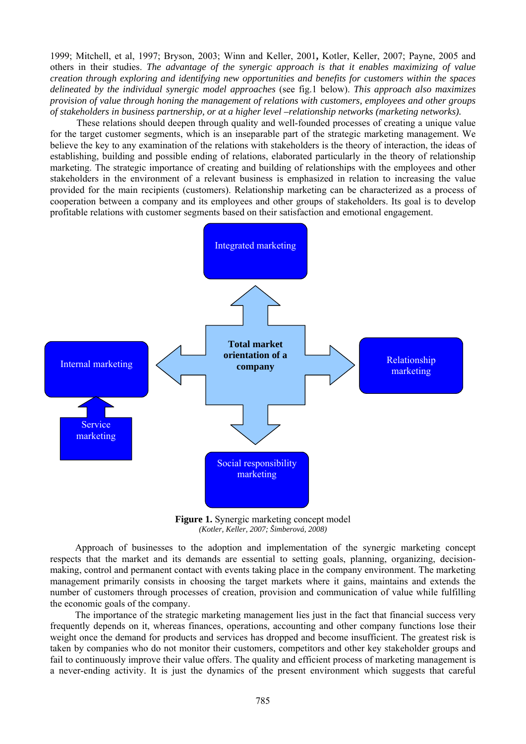1999; Mitchell, et al, 1997; Bryson, 2003; Winn and Keller, 2001**,** Kotler, Keller, 2007; Payne, 2005 and others in their studies. *The advantage of the synergic approach is that it enables maximizing of value creation through exploring and identifying new opportunities and benefits for customers within the spaces delineated by the individual synergic model approaches* (see fig.1 below). *This approach also maximizes provision of value through honing the management of relations with customers, employees and other groups of stakeholders in business partnership, or at a higher level –relationship networks (marketing networks).* 

These relations should deepen through quality and well-founded processes of creating a unique value for the target customer segments, which is an inseparable part of the strategic marketing management. We believe the key to any examination of the relations with stakeholders is the theory of interaction, the ideas of establishing, building and possible ending of relations, elaborated particularly in the theory of relationship marketing. The strategic importance of creating and building of relationships with the employees and other stakeholders in the environment of a relevant business is emphasized in relation to increasing the value provided for the main recipients (customers). Relationship marketing can be characterized as a process of cooperation between a company and its employees and other groups of stakeholders. Its goal is to develop profitable relations with customer segments based on their satisfaction and emotional engagement.



**Figure 1.** Synergic marketing concept model *(Kotler, Keller, 2007; Šimberová, 2008)* 

Approach of businesses to the adoption and implementation of the synergic marketing concept respects that the market and its demands are essential to setting goals, planning, organizing, decisionmaking, control and permanent contact with events taking place in the company environment. The marketing management primarily consists in choosing the target markets where it gains, maintains and extends the number of customers through processes of creation, provision and communication of value while fulfilling the economic goals of the company.

The importance of the strategic marketing management lies just in the fact that financial success very frequently depends on it, whereas finances, operations, accounting and other company functions lose their weight once the demand for products and services has dropped and become insufficient. The greatest risk is taken by companies who do not monitor their customers, competitors and other key stakeholder groups and fail to continuously improve their value offers. The quality and efficient process of marketing management is a never-ending activity. It is just the dynamics of the present environment which suggests that careful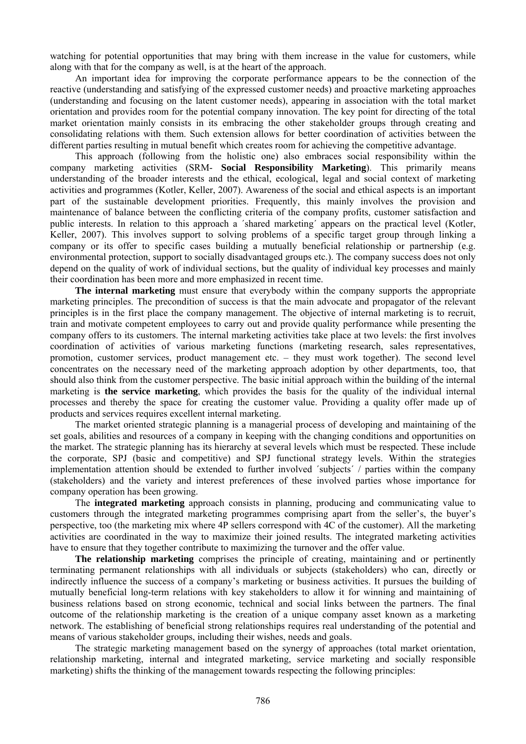watching for potential opportunities that may bring with them increase in the value for customers, while along with that for the company as well, is at the heart of the approach.

An important idea for improving the corporate performance appears to be the connection of the reactive (understanding and satisfying of the expressed customer needs) and proactive marketing approaches (understanding and focusing on the latent customer needs), appearing in association with the total market orientation and provides room for the potential company innovation. The key point for directing of the total market orientation mainly consists in its embracing the other stakeholder groups through creating and consolidating relations with them. Such extension allows for better coordination of activities between the different parties resulting in mutual benefit which creates room for achieving the competitive advantage.

This approach (following from the holistic one) also embraces social responsibility within the company marketing activities (SRM- **Social Responsibility Marketing**). This primarily means understanding of the broader interests and the ethical, ecological, legal and social context of marketing activities and programmes (Kotler, Keller, 2007). Awareness of the social and ethical aspects is an important part of the sustainable development priorities. Frequently, this mainly involves the provision and maintenance of balance between the conflicting criteria of the company profits, customer satisfaction and public interests. In relation to this approach a ´shared marketing´ appears on the practical level (Kotler, Keller, 2007). This involves support to solving problems of a specific target group through linking a company or its offer to specific cases building a mutually beneficial relationship or partnership (e.g. environmental protection, support to socially disadvantaged groups etc.). The company success does not only depend on the quality of work of individual sections, but the quality of individual key processes and mainly their coordination has been more and more emphasized in recent time.

**The internal marketing** must ensure that everybody within the company supports the appropriate marketing principles. The precondition of success is that the main advocate and propagator of the relevant principles is in the first place the company management. The objective of internal marketing is to recruit, train and motivate competent employees to carry out and provide quality performance while presenting the company offers to its customers. The internal marketing activities take place at two levels: the first involves coordination of activities of various marketing functions (marketing research, sales representatives, promotion, customer services, product management etc. – they must work together). The second level concentrates on the necessary need of the marketing approach adoption by other departments, too, that should also think from the customer perspective. The basic initial approach within the building of the internal marketing is **the service marketing**, which provides the basis for the quality of the individual internal processes and thereby the space for creating the customer value. Providing a quality offer made up of products and services requires excellent internal marketing.

The market oriented strategic planning is a managerial process of developing and maintaining of the set goals, abilities and resources of a company in keeping with the changing conditions and opportunities on the market. The strategic planning has its hierarchy at several levels which must be respected. These include the corporate, SPJ (basic and competitive) and SPJ functional strategy levels. Within the strategies implementation attention should be extended to further involved ´subjects´ / parties within the company (stakeholders) and the variety and interest preferences of these involved parties whose importance for company operation has been growing.

The **integrated marketing** approach consists in planning, producing and communicating value to customers through the integrated marketing programmes comprising apart from the seller's, the buyer's perspective, too (the marketing mix where 4P sellers correspond with 4C of the customer). All the marketing activities are coordinated in the way to maximize their joined results. The integrated marketing activities have to ensure that they together contribute to maximizing the turnover and the offer value.

**The relationship marketing** comprises the principle of creating, maintaining and or pertinently terminating permanent relationships with all individuals or subjects (stakeholders) who can, directly or indirectly influence the success of a company's marketing or business activities. It pursues the building of mutually beneficial long-term relations with key stakeholders to allow it for winning and maintaining of business relations based on strong economic, technical and social links between the partners. The final outcome of the relationship marketing is the creation of a unique company asset known as a marketing network. The establishing of beneficial strong relationships requires real understanding of the potential and means of various stakeholder groups, including their wishes, needs and goals.

The strategic marketing management based on the synergy of approaches (total market orientation, relationship marketing, internal and integrated marketing, service marketing and socially responsible marketing) shifts the thinking of the management towards respecting the following principles: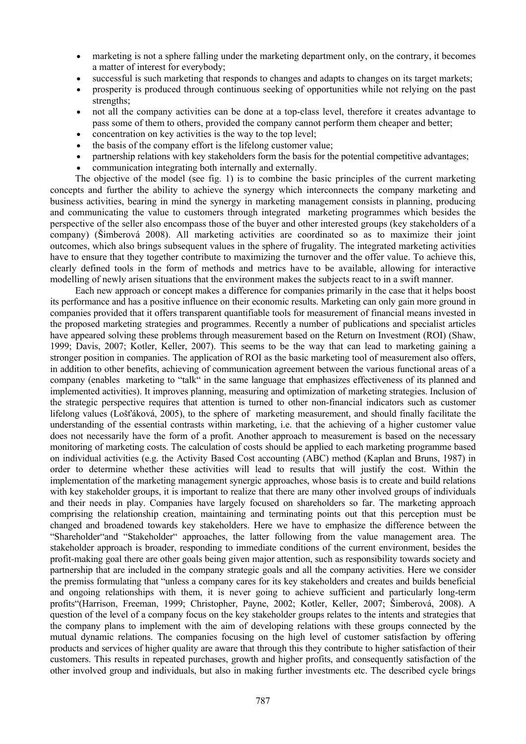- marketing is not a sphere falling under the marketing department only, on the contrary, it becomes a matter of interest for everybody;
- successful is such marketing that responds to changes and adapts to changes on its target markets;
- prosperity is produced through continuous seeking of opportunities while not relying on the past strengths;
- not all the company activities can be done at a top-class level, therefore it creates advantage to pass some of them to others, provided the company cannot perform them cheaper and better;
- concentration on key activities is the way to the top level:
- the basis of the company effort is the lifelong customer value;
- partnership relations with key stakeholders form the basis for the potential competitive advantages;
- communication integrating both internally and externally.

The objective of the model (see fig. 1) is to combine the basic principles of the current marketing concepts and further the ability to achieve the synergy which interconnects the company marketing and business activities, bearing in mind the synergy in marketing management consists in planning, producing and communicating the value to customers through integrated marketing programmes which besides the perspective of the seller also encompass those of the buyer and other interested groups (key stakeholders of a company) (Šimberová 2008). All marketing activities are coordinated so as to maximize their joint outcomes, which also brings subsequent values in the sphere of frugality. The integrated marketing activities have to ensure that they together contribute to maximizing the turnover and the offer value. To achieve this, clearly defined tools in the form of methods and metrics have to be available, allowing for interactive modelling of newly arisen situations that the environment makes the subjects react to in a swift manner.

Each new approach or concept makes a difference for companies primarily in the case that it helps boost its performance and has a positive influence on their economic results. Marketing can only gain more ground in companies provided that it offers transparent quantifiable tools for measurement of financial means invested in the proposed marketing strategies and programmes. Recently a number of publications and specialist articles have appeared solving these problems through measurement based on the Return on Investment (ROI) (Shaw, 1999; Davis, 2007; Kotler, Keller, 2007). This seems to be the way that can lead to marketing gaining a stronger position in companies. The application of ROI as the basic marketing tool of measurement also offers, in addition to other benefits, achieving of communication agreement between the various functional areas of a company (enables marketing to "talk" in the same language that emphasizes effectiveness of its planned and implemented activities). It improves planning, measuring and optimization of marketing strategies. Inclusion of the strategic perspective requires that attention is turned to other non-financial indicators such as customer lifelong values (Lošťáková, 2005), to the sphere of marketing measurement, and should finally facilitate the understanding of the essential contrasts within marketing, i.e. that the achieving of a higher customer value does not necessarily have the form of a profit. Another approach to measurement is based on the necessary monitoring of marketing costs. The calculation of costs should be applied to each marketing programme based on individual activities (e.g. the Activity Based Cost accounting (ABC) method (Kaplan and Bruns, 1987) in order to determine whether these activities will lead to results that will justify the cost. Within the implementation of the marketing management synergic approaches, whose basis is to create and build relations with key stakeholder groups, it is important to realize that there are many other involved groups of individuals and their needs in play. Companies have largely focused on shareholders so far. The marketing approach comprising the relationship creation, maintaining and terminating points out that this perception must be changed and broadened towards key stakeholders. Here we have to emphasize the difference between the "Shareholder"and "Stakeholder" approaches, the latter following from the value management area. The stakeholder approach is broader, responding to immediate conditions of the current environment, besides the profit-making goal there are other goals being given major attention, such as responsibility towards society and partnership that are included in the company strategic goals and all the company activities. Here we consider the premiss formulating that "unless a company cares for its key stakeholders and creates and builds beneficial and ongoing relationships with them, it is never going to achieve sufficient and particularly long-term profits"(Harrison, Freeman, 1999; Christopher, Payne, 2002; Kotler, Keller, 2007; Šimberová, 2008). A question of the level of a company focus on the key stakeholder groups relates to the intents and strategies that the company plans to implement with the aim of developing relations with these groups connected by the mutual dynamic relations. The companies focusing on the high level of customer satisfaction by offering products and services of higher quality are aware that through this they contribute to higher satisfaction of their customers. This results in repeated purchases, growth and higher profits, and consequently satisfaction of the other involved group and individuals, but also in making further investments etc. The described cycle brings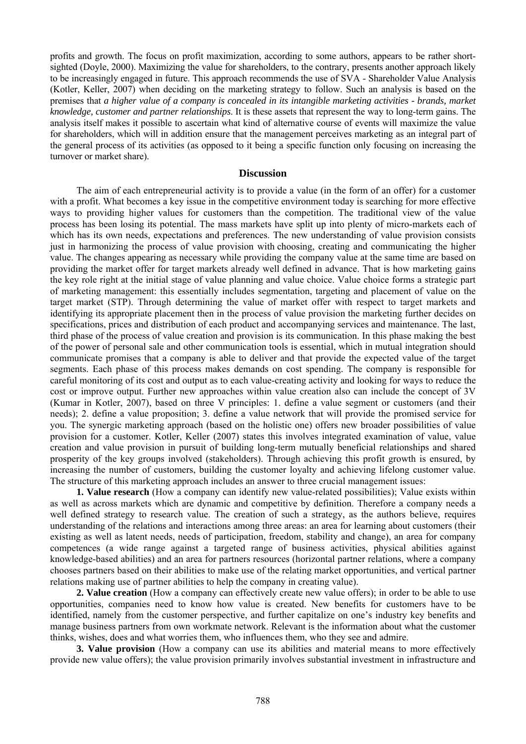profits and growth. The focus on profit maximization, according to some authors, appears to be rather shortsighted (Doyle, 2000). Maximizing the value for shareholders, to the contrary, presents another approach likely to be increasingly engaged in future. This approach recommends the use of SVA - Shareholder Value Analysis (Kotler, Keller, 2007) when deciding on the marketing strategy to follow. Such an analysis is based on the premises that *a higher value of a company is concealed in its intangible marketing activities - brands, market knowledge, customer and partner relationships*. It is these assets that represent the way to long-term gains. The analysis itself makes it possible to ascertain what kind of alternative course of events will maximize the value for shareholders, which will in addition ensure that the management perceives marketing as an integral part of the general process of its activities (as opposed to it being a specific function only focusing on increasing the turnover or market share).

#### **Discussion**

The aim of each entrepreneurial activity is to provide a value (in the form of an offer) for a customer with a profit. What becomes a key issue in the competitive environment today is searching for more effective ways to providing higher values for customers than the competition. The traditional view of the value process has been losing its potential. The mass markets have split up into plenty of micro-markets each of which has its own needs, expectations and preferences. The new understanding of value provision consists just in harmonizing the process of value provision with choosing, creating and communicating the higher value. The changes appearing as necessary while providing the company value at the same time are based on providing the market offer for target markets already well defined in advance. That is how marketing gains the key role right at the initial stage of value planning and value choice. Value choice forms a strategic part of marketing management: this essentially includes segmentation, targeting and placement of value on the target market (STP). Through determining the value of market offer with respect to target markets and identifying its appropriate placement then in the process of value provision the marketing further decides on specifications, prices and distribution of each product and accompanying services and maintenance. The last, third phase of the process of value creation and provision is its communication. In this phase making the best of the power of personal sale and other communication tools is essential, which in mutual integration should communicate promises that a company is able to deliver and that provide the expected value of the target segments. Each phase of this process makes demands on cost spending. The company is responsible for careful monitoring of its cost and output as to each value-creating activity and looking for ways to reduce the cost or improve output. Further new approaches within value creation also can include the concept of 3V (Kumar in Kotler, 2007), based on three V principles: 1. define a value segment or customers (and their needs); 2. define a value proposition; 3. define a value network that will provide the promised service for you. The synergic marketing approach (based on the holistic one) offers new broader possibilities of value provision for a customer. Kotler, Keller (2007) states this involves integrated examination of value, value creation and value provision in pursuit of building long-term mutually beneficial relationships and shared prosperity of the key groups involved (stakeholders). Through achieving this profit growth is ensured, by increasing the number of customers, building the customer loyalty and achieving lifelong customer value. The structure of this marketing approach includes an answer to three crucial management issues:

**1. Value research** (How a company can identify new value-related possibilities); Value exists within as well as across markets which are dynamic and competitive by definition. Therefore a company needs a well defined strategy to research value. The creation of such a strategy, as the authors believe, requires understanding of the relations and interactions among three areas: an area for learning about customers (their existing as well as latent needs, needs of participation, freedom, stability and change), an area for company competences (a wide range against a targeted range of business activities, physical abilities against knowledge-based abilities) and an area for partners resources (horizontal partner relations, where a company chooses partners based on their abilities to make use of the relating market opportunities, and vertical partner relations making use of partner abilities to help the company in creating value).

**2. Value creation** (How a company can effectively create new value offers); in order to be able to use opportunities, companies need to know how value is created. New benefits for customers have to be identified, namely from the customer perspective, and further capitalize on one's industry key benefits and manage business partners from own workmate network. Relevant is the information about what the customer thinks, wishes, does and what worries them, who influences them, who they see and admire.

**3. Value provision** (How a company can use its abilities and material means to more effectively provide new value offers); the value provision primarily involves substantial investment in infrastructure and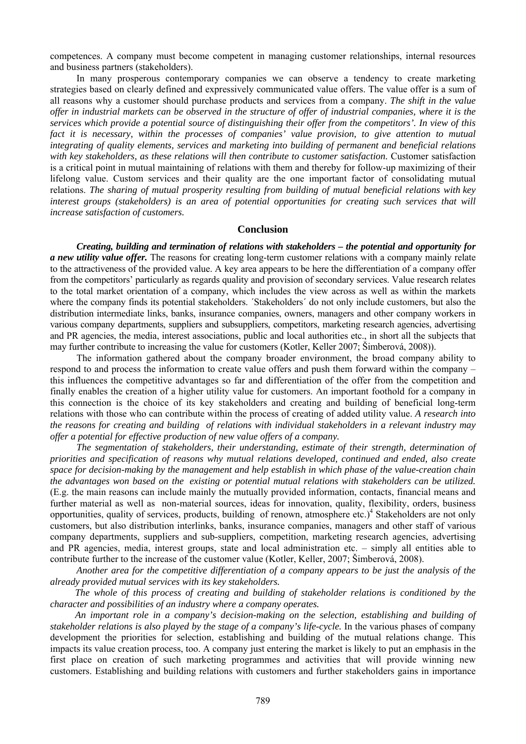competences. A company must become competent in managing customer relationships, internal resources and business partners (stakeholders).

In many prosperous contemporary companies we can observe a tendency to create marketing strategies based on clearly defined and expressively communicated value offers. The value offer is a sum of all reasons why a customer should purchase products and services from a company. *The shift in the value offer in industrial markets can be observed in the structure of offer of industrial companies, where it is the services which provide a potential source of distinguishing their offer from the competitors'. In view of this fact it is necessary, within the processes of companies' value provision, to give attention to mutual integrating of quality elements, services and marketing into building of permanent and beneficial relations*  with key stakeholders, as these relations will then contribute to customer satisfaction. Customer satisfaction is a critical point in mutual maintaining of relations with them and thereby for follow-up maximizing of their lifelong value. Custom services and their quality are the one important factor of consolidating mutual relations. *The sharing of mutual prosperity resulting from building of mutual beneficial relations with key interest groups (stakeholders) is an area of potential opportunities for creating such services that will increase satisfaction of customers.* 

## **Conclusion**

*Creating, building and termination of relations with stakeholders – the potential and opportunity for a new utility value offer.* The reasons for creating long-term customer relations with a company mainly relate to the attractiveness of the provided value. A key area appears to be here the differentiation of a company offer from the competitors' particularly as regards quality and provision of secondary services. Value research relates to the total market orientation of a company, which includes the view across as well as within the markets where the company finds its potential stakeholders. 'Stakeholders' do not only include customers, but also the distribution intermediate links, banks, insurance companies, owners, managers and other company workers in various company departments, suppliers and subsuppliers, competitors, marketing research agencies, advertising and PR agencies, the media, interest associations, public and local authorities etc., in short all the subjects that may further contribute to increasing the value for customers (Kotler, Keller 2007; Šimberová, 2008)).

The information gathered about the company broader environment, the broad company ability to respond to and process the information to create value offers and push them forward within the company – this influences the competitive advantages so far and differentiation of the offer from the competition and finally enables the creation of a higher utility value for customers. An important foothold for a company in this connection is the choice of its key stakeholders and creating and building of beneficial long-term relations with those who can contribute within the process of creating of added utility value. *A research into the reasons for creating and building of relations with individual stakeholders in a relevant industry may offer a potential for effective production of new value offers of a company.* 

*The segmentation of stakeholders, their understanding, estimate of their strength, determination of priorities and specification of reasons why mutual relations developed, continued and ended, also create space for decision-making by the management and help establish in which phase of the value-creation chain the advantages won based on the existing or potential mutual relations with stakeholders can be utilized.* (E.g. the main reasons can include mainly the mutually provided information, contacts, financial means and further material as well as non-material sources, ideas for innovation, quality, flexibility, orders, business opportunities, quality of services, products, building of renown, atmosphere etc.)<sup>4</sup> Stakeholders are not only customers, but also distribution interlinks, banks, insurance companies, managers and other staff of various company departments, suppliers and sub-suppliers, competition, marketing research agencies, advertising and PR agencies, media, interest groups, state and local administration etc. – simply all entities able to contribute further to the increase of the customer value (Kotler, Keller, 2007; Šimberová, 2008).

*Another area for the competitive differentiation of a company appears to be just the analysis of the already provided mutual services with its key stakeholders.* 

*The whole of this process of creating and building of stakeholder relations is conditioned by the character and possibilities of an industry where a company operates.*

*An important role in a company's decision-making on the selection, establishing and building of stakeholder relations is also played by the stage of a company's life-cycle.* In the various phases of company development the priorities for selection, establishing and building of the mutual relations change. This impacts its value creation process, too. A company just entering the market is likely to put an emphasis in the first place on creation of such marketing programmes and activities that will provide winning new customers. Establishing and building relations with customers and further stakeholders gains in importance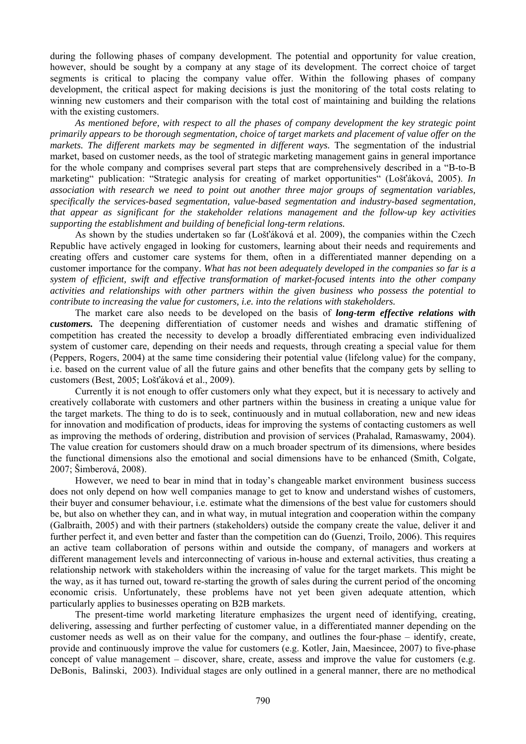during the following phases of company development. The potential and opportunity for value creation, however, should be sought by a company at any stage of its development. The correct choice of target segments is critical to placing the company value offer. Within the following phases of company development, the critical aspect for making decisions is just the monitoring of the total costs relating to winning new customers and their comparison with the total cost of maintaining and building the relations with the existing customers.

*As mentioned before, with respect to all the phases of company development the key strategic point primarily appears to be thorough segmentation, choice of target markets and placement of value offer on the markets. The different markets may be segmented in different ways.* The segmentation of the industrial market, based on customer needs, as the tool of strategic marketing management gains in general importance for the whole company and comprises several part steps that are comprehensively described in a "B-to-B marketing" publication: "Strategic analysis for creating of market opportunities" (Lošťáková, 2005). *In association with research we need to point out another three major groups of segmentation variables, specifically the services-based segmentation, value-based segmentation and industry-based segmentation, that appear as significant for the stakeholder relations management and the follow-up key activities supporting the establishment and building of beneficial long-term relations.*

As shown by the studies undertaken so far (Lošťáková et al. 2009), the companies within the Czech Republic have actively engaged in looking for customers, learning about their needs and requirements and creating offers and customer care systems for them, often in a differentiated manner depending on a customer importance for the company. *What has not been adequately developed in the companies so far is a system of efficient, swift and effective transformation of market-focused intents into the other company activities and relationships with other partners within the given business who possess the potential to contribute to increasing the value for customers, i.e. into the relations with stakeholders.* 

The market care also needs to be developed on the basis of *long-term effective relations with customers.* The deepening differentiation of customer needs and wishes and dramatic stiffening of competition has created the necessity to develop a broadly differentiated embracing even individualized system of customer care, depending on their needs and requests, through creating a special value for them (Peppers, Rogers, 2004) at the same time considering their potential value (lifelong value) for the company, i.e. based on the current value of all the future gains and other benefits that the company gets by selling to customers (Best, 2005; Lošťáková et al., 2009).

Currently it is not enough to offer customers only what they expect, but it is necessary to actively and creatively collaborate with customers and other partners within the business in creating a unique value for the target markets. The thing to do is to seek, continuously and in mutual collaboration, new and new ideas for innovation and modification of products, ideas for improving the systems of contacting customers as well as improving the methods of ordering, distribution and provision of services (Prahalad, Ramaswamy, 2004). The value creation for customers should draw on a much broader spectrum of its dimensions, where besides the functional dimensions also the emotional and social dimensions have to be enhanced (Smith, Colgate, 2007; Šimberová, 2008).

However, we need to bear in mind that in today's changeable market environment business success does not only depend on how well companies manage to get to know and understand wishes of customers, their buyer and consumer behaviour, i.e. estimate what the dimensions of the best value for customers should be, but also on whether they can, and in what way, in mutual integration and cooperation within the company (Galbraith, 2005) and with their partners (stakeholders) outside the company create the value, deliver it and further perfect it, and even better and faster than the competition can do (Guenzi, Troilo, 2006). This requires an active team collaboration of persons within and outside the company, of managers and workers at different management levels and interconnecting of various in-house and external activities, thus creating a relationship network with stakeholders within the increasing of value for the target markets. This might be the way, as it has turned out, toward re-starting the growth of sales during the current period of the oncoming economic crisis. Unfortunately, these problems have not yet been given adequate attention, which particularly applies to businesses operating on B2B markets.

The present-time world marketing literature emphasizes the urgent need of identifying, creating, delivering, assessing and further perfecting of customer value, in a differentiated manner depending on the customer needs as well as on their value for the company, and outlines the four-phase – identify, create, provide and continuously improve the value for customers (e.g. Kotler, Jain, Maesincee, 2007) to five-phase concept of value management – discover, share, create, assess and improve the value for customers (e.g. DeBonis, Balinski, 2003). Individual stages are only outlined in a general manner, there are no methodical